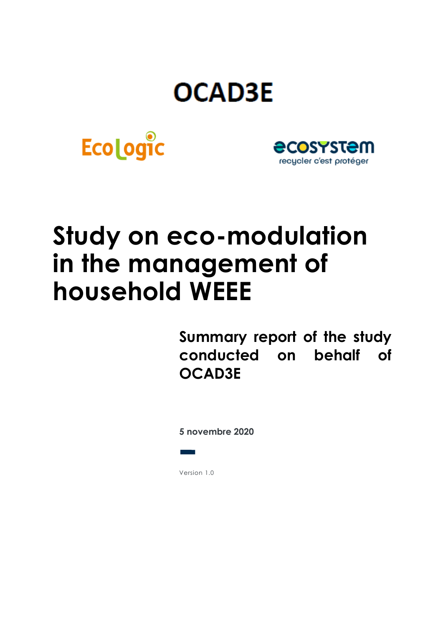# **OCAD3E**





# **Study on eco-modulation in the management of household WEEE**

**Summary report of the study conducted on behalf of OCAD3E**

**5 novembre 2020**

Version 1.0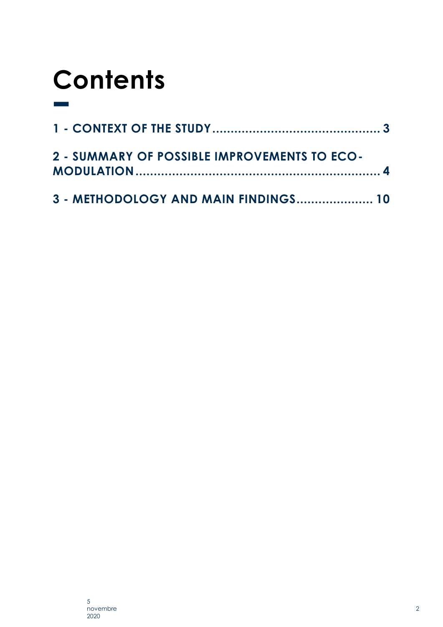# **Contents**

| 2 - SUMMARY OF POSSIBLE IMPROVEMENTS TO ECO- |  |
|----------------------------------------------|--|
| 3 - METHODOLOGY AND MAIN FINDINGS 10         |  |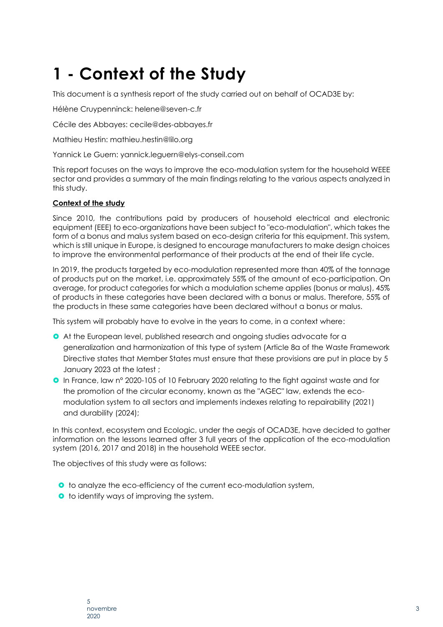## <span id="page-2-0"></span>**1 - Context of the Study**

This document is a synthesis report of the study carried out on behalf of OCAD3E by:

Hélène Cruypenninck: helene@seven-c.fr

Cécile des Abbayes: cecile@des-abbayes.fr

Mathieu Hestin: mathieu.hestin@lilo.org

Yannick Le Guern: yannick.leguern@elys-conseil.com

This report focuses on the ways to improve the eco-modulation system for the household WEEE sector and provides a summary of the main findings relating to the various aspects analyzed in this study.

#### **Context of the study**

Since 2010, the contributions paid by producers of household electrical and electronic equipment (EEE) to eco-organizations have been subject to "eco-modulation", which takes the form of a bonus and malus system based on eco-design criteria for this equipment. This system, which is still unique in Europe, is designed to encourage manufacturers to make design choices to improve the environmental performance of their products at the end of their life cycle.

In 2019, the products targeted by eco-modulation represented more than 40% of the tonnage of products put on the market, i.e. approximately 55% of the amount of eco-participation. On average, for product categories for which a modulation scheme applies (bonus or malus), 45% of products in these categories have been declared with a bonus or malus. Therefore, 55% of the products in these same categories have been declared without a bonus or malus.

This system will probably have to evolve in the years to come, in a context where:

- At the European level, published research and ongoing studies advocate for a generalization and harmonization of this type of system (Article 8a of the Waste Framework Directive states that Member States must ensure that these provisions are put in place by 5 January 2023 at the latest ;
- In France, law n° 2020-105 of 10 February 2020 relating to the fight against waste and for the promotion of the circular economy, known as the "AGEC" law, extends the ecomodulation system to all sectors and implements indexes relating to repairability (2021) and durability (2024);

In this context, ecosystem and Ecologic, under the aegis of OCAD3E, have decided to gather information on the lessons learned after 3 full years of the application of the eco-modulation system (2016, 2017 and 2018) in the household WEEE sector.

The objectives of this study were as follows:

- **o** to analyze the eco-efficiency of the current eco-modulation system,
- **o** to identify ways of improving the system.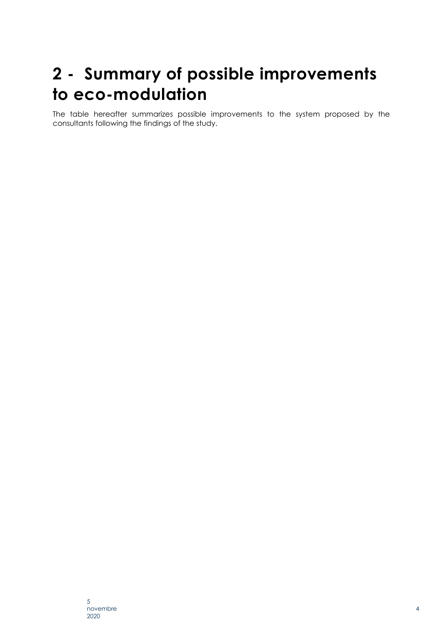## <span id="page-3-0"></span>**2 - Summary of possible improvements to eco-modulation**

The table hereafter summarizes possible improvements to the system proposed by the consultants following the findings of the study.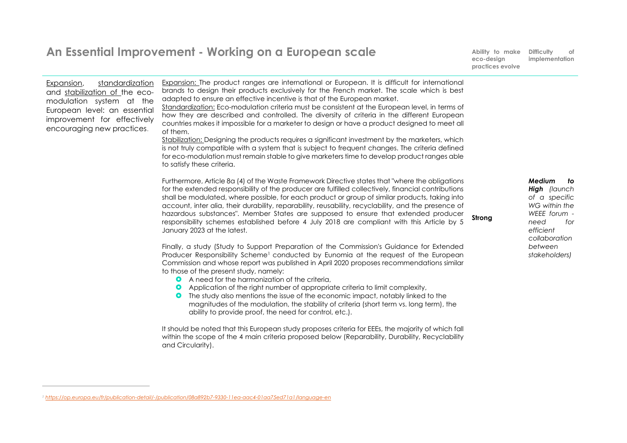|                                                                                                                                                                                         | An Essential Improvement - Working on a European scale                                                                                                                                                                                                                                                                                                                                                                                                                                                                                                                                                                                                                                                                                                                                                                                                                                                                   | Ability to make<br>eco-design<br>practices evolve | <b>Difficulty</b><br>of<br>implementation                                                                                          |
|-----------------------------------------------------------------------------------------------------------------------------------------------------------------------------------------|--------------------------------------------------------------------------------------------------------------------------------------------------------------------------------------------------------------------------------------------------------------------------------------------------------------------------------------------------------------------------------------------------------------------------------------------------------------------------------------------------------------------------------------------------------------------------------------------------------------------------------------------------------------------------------------------------------------------------------------------------------------------------------------------------------------------------------------------------------------------------------------------------------------------------|---------------------------------------------------|------------------------------------------------------------------------------------------------------------------------------------|
| standardization<br>Expansion,<br>and stabilization of the eco-<br>modulation system at the<br>European level: an essential<br>improvement for effectively<br>encouraging new practices. | Expansion: The product ranges are international or European. It is difficult for international<br>brands to design their products exclusively for the French market. The scale which is best<br>adapted to ensure an effective incentive is that of the European market.<br>Standardization: Eco-modulation criteria must be consistent at the European level, in terms of<br>how they are described and controlled. The diversity of criteria in the different European<br>countries makes it impossible for a marketer to design or have a product designed to meet all<br>of them.<br>Stabilization: Designing the products requires a significant investment by the marketers, which<br>is not truly compatible with a system that is subject to frequent changes. The criteria defined<br>for eco-modulation must remain stable to give marketers time to develop product ranges able<br>to satisfy these criteria. |                                                   |                                                                                                                                    |
|                                                                                                                                                                                         | Furthermore, Article 8a (4) of the Waste Framework Directive states that "where the obligations<br>for the extended responsibility of the producer are fulfilled collectively, financial contributions<br>shall be modulated, where possible, for each product or group of similar products, taking into<br>account, inter alia, their durability, reparability, reusability, recyclability, and the presence of<br>hazardous substances". Member States are supposed to ensure that extended producer<br>responsibility schemes established before 4 July 2018 are compliant with this Article by 5<br>January 2023 at the latest.                                                                                                                                                                                                                                                                                      | Strona                                            | Medium<br>to<br><b>High</b> (launch<br>of a specific<br>WG within the<br>WEEE forum -<br>need<br>for<br>efficient<br>collaboration |
|                                                                                                                                                                                         | Finally, a study (Study to Support Preparation of the Commission's Guidance for Extended<br>Producer Responsibility Scheme <sup>1</sup> conducted by Eunomia at the request of the European<br>Commission and whose report was published in April 2020 proposes recommendations similar<br>to those of the present study, namely:<br>A need for the harmonization of the criteria,<br>Application of the right number of appropriate criteria to limit complexity,<br>$\bullet$<br>The study also mentions the issue of the economic impact, notably linked to the<br>$\bullet$<br>magnitudes of the modulation, the stability of criteria (short term vs. long term), the<br>ability to provide proof, the need for control, etc.).                                                                                                                                                                                     |                                                   | between<br>stakeholders)                                                                                                           |
|                                                                                                                                                                                         | It should be noted that this European study proposes criteria for EEEs, the majority of which fall<br>within the scope of the 4 main criteria proposed below (Reparability, Durability, Recyclability<br>and Circularity).                                                                                                                                                                                                                                                                                                                                                                                                                                                                                                                                                                                                                                                                                               |                                                   |                                                                                                                                    |

*<sup>1</sup> <https://op.europa.eu/fr/publication-detail/-/publication/08a892b7-9330-11ea-aac4-01aa75ed71a1/language-en>*

 $\overline{\phantom{0}}$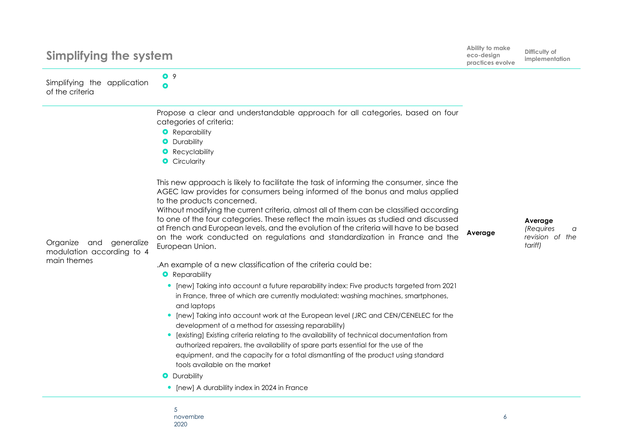| Simplifying the system                                                    |                                                                                                                                                                                                                                                                                                                                                                                                                                                                                                                                                                                                                                                                                                                                                                                             | Ability to make<br>eco-design<br>practices evolve | Difficulty of<br>implementation                         |
|---------------------------------------------------------------------------|---------------------------------------------------------------------------------------------------------------------------------------------------------------------------------------------------------------------------------------------------------------------------------------------------------------------------------------------------------------------------------------------------------------------------------------------------------------------------------------------------------------------------------------------------------------------------------------------------------------------------------------------------------------------------------------------------------------------------------------------------------------------------------------------|---------------------------------------------------|---------------------------------------------------------|
| Simplifying the application<br>of the criteria                            | O <sub>9</sub><br>$\bullet$                                                                                                                                                                                                                                                                                                                                                                                                                                                                                                                                                                                                                                                                                                                                                                 |                                                   |                                                         |
| Organize<br>generalize<br>and<br>modulation according to 4<br>main themes | Propose a clear and understandable approach for all categories, based on four<br>categories of criteria:<br><b>O</b> Reparability<br><b>O</b> Durability<br><b>O</b> Recyclability<br><b>O</b> Circularity                                                                                                                                                                                                                                                                                                                                                                                                                                                                                                                                                                                  |                                                   |                                                         |
|                                                                           | This new approach is likely to facilitate the task of informing the consumer, since the<br>AGEC law provides for consumers being informed of the bonus and malus applied<br>to the products concerned.<br>Without modifying the current criteria, almost all of them can be classified according<br>to one of the four categories. These reflect the main issues as studied and discussed<br>at French and European levels, and the evolution of the criteria will have to be based<br>on the work conducted on regulations and standardization in France and the<br>European Union.                                                                                                                                                                                                        | Average                                           | Average<br>(Requires<br>a<br>revision of the<br>tariff) |
|                                                                           | .An example of a new classification of the criteria could be:<br><b>O</b> Reparability<br>[new] Taking into account a future reparability index: Five products targeted from 2021<br>$\bullet$<br>in France, three of which are currently modulated: washing machines, smartphones,<br>and laptops<br>[new] Taking into account work at the European level (JRC and CEN/CENELEC for the<br>$\bullet$<br>development of a method for assessing reparability)<br>[existing] Existing criteria relating to the availability of technical documentation from<br>authorized repairers, the availability of spare parts essential for the use of the<br>equipment, and the capacity for a total dismantling of the product using standard<br>tools available on the market<br><b>O</b> Durability |                                                   |                                                         |
|                                                                           | [new] A durability index in 2024 in France                                                                                                                                                                                                                                                                                                                                                                                                                                                                                                                                                                                                                                                                                                                                                  |                                                   |                                                         |

5 novembre 2020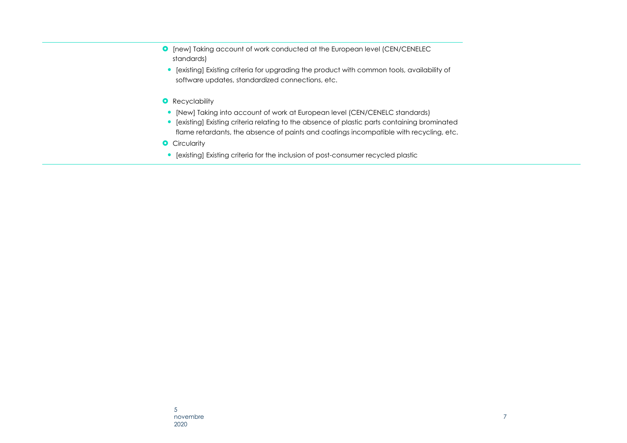- **O** [new] Taking account of work conducted at the European level (CEN/CENELEC standards)
- [existing] Existing criteria for upgrading the product with common tools, availability of software updates, standardized connections, etc.
- **O** Recyclability
- [New] Taking into account of work at European level (CEN/CENELC standards)
- [existing] Existing criteria relating to the absence of plastic parts containing brominated flame retardants, the absence of paints and coatings incompatible with recycling, etc.
- **O** Circularity
- [existing] Existing criteria for the inclusion of post-consumer recycled plastic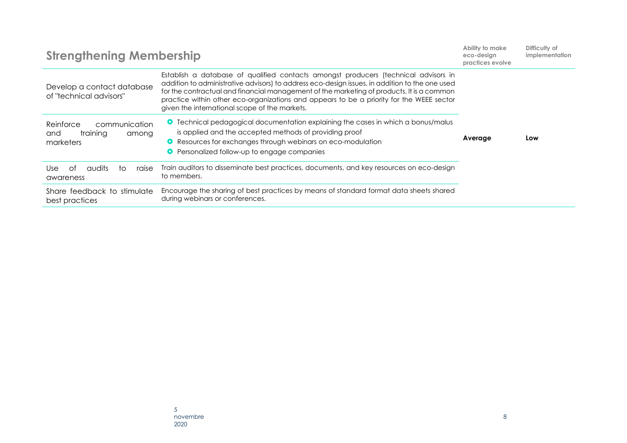| <b>Strengthening Membership</b>                                     |                                                                                                                                                                                                                                                                                                                                                                                                                                 | Ability to make<br>eco-design<br>practices evolve | Difficulty of<br><i>implementation</i> |
|---------------------------------------------------------------------|---------------------------------------------------------------------------------------------------------------------------------------------------------------------------------------------------------------------------------------------------------------------------------------------------------------------------------------------------------------------------------------------------------------------------------|---------------------------------------------------|----------------------------------------|
| Develop a contact database<br>of "technical advisors"               | Establish a database of qualified contacts amongst producers (technical advisors in<br>addition to administrative advisors) to address eco-design issues, in addition to the one used<br>for the contractual and financial management of the marketing of products. It is a common<br>practice within other eco-organizations and appears to be a priority for the WEEE sector<br>given the international scope of the markets. |                                                   |                                        |
| Reinforce<br>communication<br>training<br>and<br>among<br>marketers | <b>O</b> Technical pedagogical documentation explaining the cases in which a bonus/malus<br>is applied and the accepted methods of providing proof<br>• Resources for exchanges through webinars on eco-modulation<br>Personalized follow-up to engage companies<br>O.                                                                                                                                                          | Average                                           | Low                                    |
| audits<br>Use<br>റ†<br>raise<br>tΟ<br>awareness                     | Train auditors to disseminate best practices, documents, and key resources on eco-design<br>to members.                                                                                                                                                                                                                                                                                                                         |                                                   |                                        |
| Share feedback to stimulate<br>best practices                       | Encourage the sharing of best practices by means of standard format data sheets shared<br>during webinars or conferences.                                                                                                                                                                                                                                                                                                       |                                                   |                                        |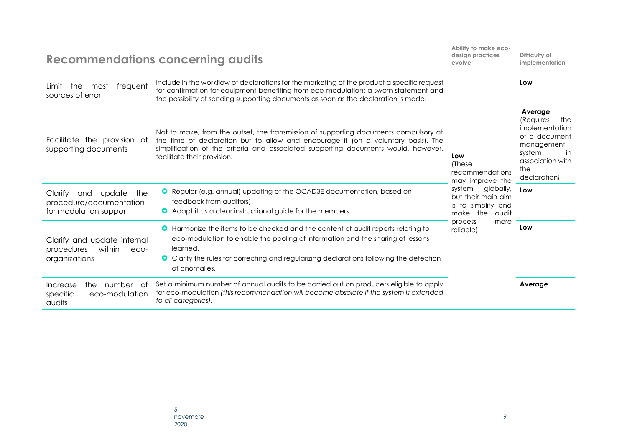|                                                                                      | <b>Recommendations concerning audits</b>                                                                                                                                                                                                                                                                  | Ability to make eco-<br>design practices<br>evolve                                                                                                                        | Difficulty of<br>implementation                                                                                                         |
|--------------------------------------------------------------------------------------|-----------------------------------------------------------------------------------------------------------------------------------------------------------------------------------------------------------------------------------------------------------------------------------------------------------|---------------------------------------------------------------------------------------------------------------------------------------------------------------------------|-----------------------------------------------------------------------------------------------------------------------------------------|
| frequent<br>the<br>most<br>Limit<br>sources of error                                 | Include in the workflow of declarations for the marketing of the product a specific request<br>for confirmation for equipment benefiting from eco-modulation: a sworn statement and<br>the possibility of sending supporting documents as soon as the declaration is made.                                | Low<br>(These<br>recommendations<br>may improve the<br>globally,<br>system<br>but their main aim<br>is to simplify and<br>make the audit<br>process<br>more<br>reliable). | Low                                                                                                                                     |
| Facilitate the provision of<br>supporting documents                                  | Not to make, from the outset, the transmission of supporting documents compulsory at<br>the time of declaration but to allow and encourage it (on a voluntary basis). The<br>simplification of the criteria and associated supporting documents would, however,<br>facilitate their provision.            |                                                                                                                                                                           | Average<br>(Requires<br>the<br>implementation<br>of a document<br>management<br>system<br>in<br>association with<br>the<br>declaration) |
| the<br>Clarify<br>update<br>and<br>procedure/documentation<br>for modulation support | <b>O</b> Regular (e.g. annual) updating of the OCAD3E documentation, based on<br>feedback from auditors).<br>Adapt it as a clear instructional guide for the members.                                                                                                                                     |                                                                                                                                                                           | Low                                                                                                                                     |
| Clarify and update internal<br>within<br>procedures<br>eco-<br>organizations         | <b>O</b> Harmonize the items to be checked and the content of audit reports relating to<br>eco-modulation to enable the pooling of information and the sharing of lessons<br>learned.<br><b>O</b> Clarify the rules for correcting and regularizing declarations following the detection<br>of anomalies. |                                                                                                                                                                           | Low                                                                                                                                     |
| number of<br>Increase<br>the<br>eco-modulation<br>specific<br>audits                 | Set a minimum number of annual audits to be carried out on producers eligible to apply<br>for eco-modulation (this recommendation will become obsolete if the system is extended<br>to all categories).                                                                                                   |                                                                                                                                                                           | Average                                                                                                                                 |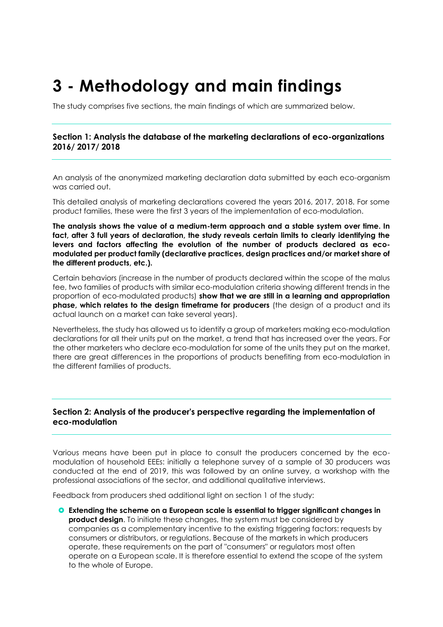## <span id="page-9-0"></span>**3 - Methodology and main findings**

The study comprises five sections, the main findings of which are summarized below.

#### **Section 1: Analysis the database of the marketing declarations of eco-organizations 2016/ 2017/ 2018**

An analysis of the anonymized marketing declaration data submitted by each eco-organism was carried out.

This detailed analysis of marketing declarations covered the years 2016, 2017, 2018. For some product families, these were the first 3 years of the implementation of eco-modulation.

**The analysis shows the value of a medium-term approach and a stable system over time. In fact, after 3 full years of declaration, the study reveals certain limits to clearly identifying the levers and factors affecting the evolution of the number of products declared as ecomodulated per product family (declarative practices, design practices and/or market share of the different products, etc.).** 

Certain behaviors (increase in the number of products declared within the scope of the malus fee, two families of products with similar eco-modulation criteria showing different trends in the proportion of eco-modulated products) **show that we are still in a learning and appropriation phase, which relates to the design timeframe for producers** (the design of a product and its actual launch on a market can take several years).

Nevertheless, the study has allowed us to identify a group of marketers making eco-modulation declarations for all their units put on the market, a trend that has increased over the years. For the other marketers who declare eco-modulation for some of the units they put on the market, there are great differences in the proportions of products benefiting from eco-modulation in the different families of products.

#### **Section 2: Analysis of the producer's perspective regarding the implementation of eco-modulation**

Various means have been put in place to consult the producers concerned by the ecomodulation of household EEEs: initially a telephone survey of a sample of 30 producers was conducted at the end of 2019, this was followed by an online survey, a workshop with the professional associations of the sector, and additional qualitative interviews.

Feedback from producers shed additional light on section 1 of the study:

 **Extending the scheme on a European scale is essential to trigger significant changes in product design**. To initiate these changes, the system must be considered by companies as a complementary incentive to the existing triggering factors: requests by consumers or distributors, or regulations. Because of the markets in which producers operate, these requirements on the part of "consumers" or regulators most often operate on a European scale. It is therefore essential to extend the scope of the system to the whole of Europe.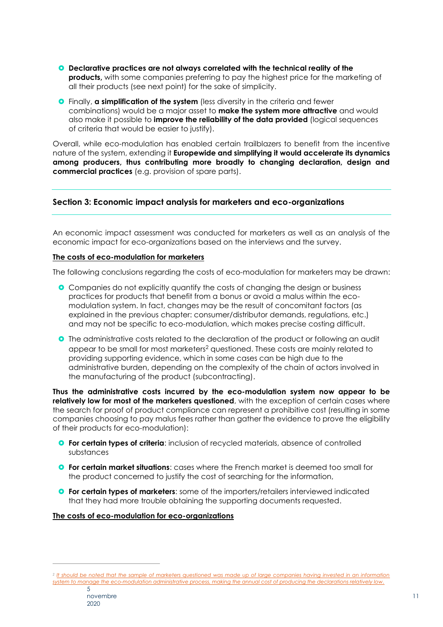- **Declarative practices are not always correlated with the technical reality of the products**, with some companies preferring to pay the highest price for the marketing of all their products (see next point) for the sake of simplicity.
- Finally, **a simplification of the system** (less diversity in the criteria and fewer combinations) would be a major asset to **make the system more attractive** and would also make it possible to **improve the reliability of the data provided** (logical sequences of criteria that would be easier to justify).

Overall, while eco-modulation has enabled certain trailblazers to benefit from the incentive nature of the system, extending it **Europewide and simplifying it would accelerate its dynamics among producers, thus contributing more broadly to changing declaration, design and commercial practices** (e.g. provision of spare parts).

#### **Section 3: Economic impact analysis for marketers and eco-organizations**

An economic impact assessment was conducted for marketers as well as an analysis of the economic impact for eco-organizations based on the interviews and the survey.

#### **The costs of eco-modulation for marketers**

The following conclusions regarding the costs of eco-modulation for marketers may be drawn:

- **O** Companies do not explicitly quantify the costs of changing the design or business practices for products that benefit from a bonus or avoid a malus within the ecomodulation system. In fact, changes may be the result of concomitant factors (as explained in the previous chapter: consumer/distributor demands, regulations, etc.) and may not be specific to eco-modulation, which makes precise costing difficult.
- **O** The administrative costs related to the declaration of the product or following an audit appear to be small for most marketers<sup>2</sup> questioned. These costs are mainly related to providing supporting evidence, which in some cases can be high due to the administrative burden, depending on the complexity of the chain of actors involved in the manufacturing of the product (subcontracting).

**Thus the administrative costs incurred by the eco-modulation system now appear to be relatively low for most of the marketers questioned**, with the exception of certain cases where the search for proof of product compliance can represent a prohibitive cost (resulting in some companies choosing to pay malus fees rather than gather the evidence to prove the eligibility of their products for eco-modulation):

- **P** For certain types of criteria: inclusion of recycled materials, absence of controlled substances
- **O** For certain market situations: cases where the French market is deemed too small for the product concerned to justify the cost of searching for the information,
- **For certain types of marketers**: some of the importers/retailers interviewed indicated that they had more trouble obtaining the supporting documents requested.

**The costs of eco-modulation for eco-organizations**

*<sup>2</sup> It should be noted that the sample of marketers questioned was made up of large companies having invested in an information system to manage the eco-modulation administrative process, making the annual cost of producing the declarations relatively low.*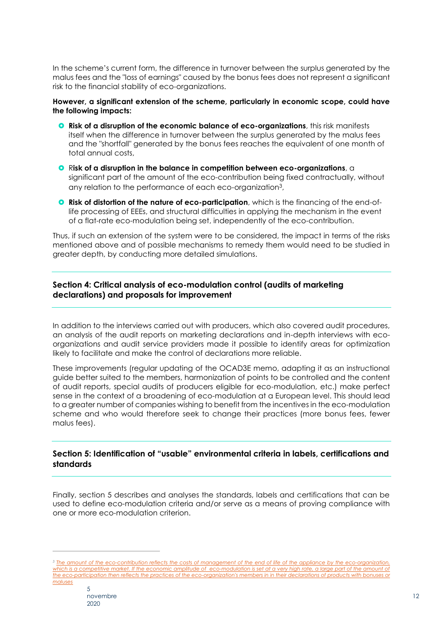In the scheme's current form, the difference in turnover between the surplus generated by the malus fees and the "loss of earnings" caused by the bonus fees does not represent a significant risk to the financial stability of eco-organizations.

#### **However, a significant extension of the scheme, particularly in economic scope, could have the following impacts:**

- **Risk of a disruption of the economic balance of eco-organizations**, this risk manifests itself when the difference in turnover between the surplus generated by the malus fees and the "shortfall" generated by the bonus fees reaches the equivalent of one month of total annual costs,
- **O** Risk of a disruption in the balance in competition between eco-organizations, a significant part of the amount of the eco-contribution being fixed contractually, without any relation to the performance of each eco-organization<sup>3</sup>,
- **Q** Risk of distortion of the nature of eco-participation, which is the financing of the end-oflife processing of EEEs, and structural difficulties in applying the mechanism in the event of a flat-rate eco-modulation being set, independently of the eco-contribution.

Thus, if such an extension of the system were to be considered, the impact in terms of the risks mentioned above and of possible mechanisms to remedy them would need to be studied in greater depth, by conducting more detailed simulations.

#### **Section 4: Critical analysis of eco-modulation control (audits of marketing declarations) and proposals for improvement**

In addition to the interviews carried out with producers, which also covered audit procedures, an analysis of the audit reports on marketing declarations and in-depth interviews with ecoorganizations and audit service providers made it possible to identify areas for optimization likely to facilitate and make the control of declarations more reliable.

These improvements (regular updating of the OCAD3E memo, adapting it as an instructional guide better suited to the members, harmonization of points to be controlled and the content of audit reports, special audits of producers eligible for eco-modulation, etc.) make perfect sense in the context of a broadening of eco-modulation at a European level. This should lead to a greater number of companies wishing to benefit from the incentives in the eco-modulation scheme and who would therefore seek to change their practices (more bonus fees, fewer malus fees).

#### **Section 5: Identification of "usable" environmental criteria in labels, certifications and standards**

Finally, section 5 describes and analyses the standards, labels and certifications that can be used to define eco-modulation criteria and/or serve as a means of proving compliance with one or more eco-modulation criterion.

*<sup>3</sup> The amount of the eco-contribution reflects the costs of management of the end of life of the appliance by the eco-organization,*  which is a competitive market. If the economic amplitude of eco-modulation is set at a very high rate, a large part of the amount of the eco-participation then reflects the practices of the eco-organization's members in in their declarations of products with bonuses or *maluses*